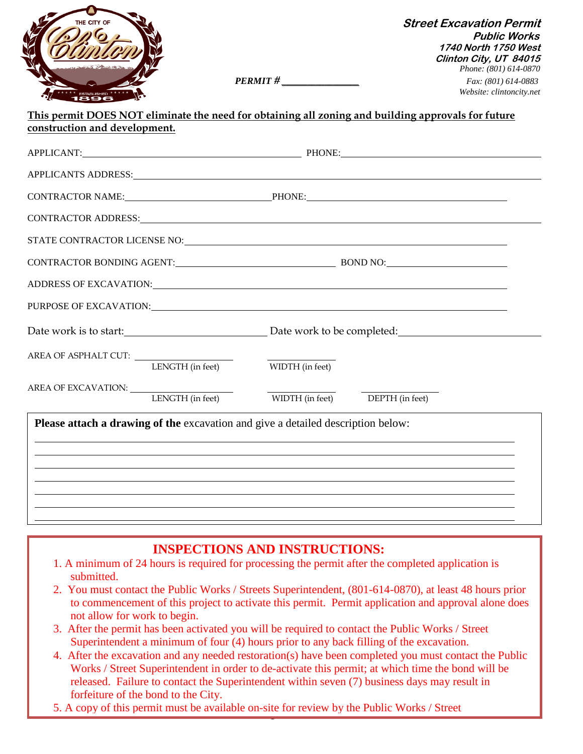

**Street Excavation Permit Public Works 1740 North 1750 West Clinton City, UT 84015** *Phone: (801) 614-0870 PERMIT # \_\_\_\_\_\_\_\_\_\_\_\_\_\_\_\_\_\_ Fax: (801) 614-0883 Website: clintoncity.net*

# **This permit DOES NOT eliminate the need for obtaining all zoning and building approvals for future construction and development.**

|                                       | APPLICANT: PHONE: PHONE: PHONE: PHONE: PHONE: PHONE: PHONE: PHONE: PHONE: PHONE: PHONE: PHONE: PHONE: PHONE: PHONE: PHONE: PHONE: PHONE: PHONE: PHONE: PHONE: PHONE: PHONE: PHONE: PHONE: PHONE: PHONE: PHONE: PHONE: PHONE: P |  |
|---------------------------------------|--------------------------------------------------------------------------------------------------------------------------------------------------------------------------------------------------------------------------------|--|
|                                       |                                                                                                                                                                                                                                |  |
|                                       | CONTRACTOR NAME: PHONE: PHONE:                                                                                                                                                                                                 |  |
|                                       |                                                                                                                                                                                                                                |  |
|                                       |                                                                                                                                                                                                                                |  |
|                                       |                                                                                                                                                                                                                                |  |
|                                       | ADDRESS OF EXCAVATION: North Annual Address of Excellence and Address of Excellence and Address of Excellence and A                                                                                                            |  |
|                                       | PURPOSE OF EXCAVATION: UNIVERSITY OF EXCAVATION                                                                                                                                                                                |  |
|                                       |                                                                                                                                                                                                                                |  |
| AREA OF ASPHALT CUT: LENGTH (in feet) | WIDTH (in feet)                                                                                                                                                                                                                |  |
| AREA OF EXCAVATION: LENGTH (in feet)  | WIDTH (in feet) DEPTH (in feet)                                                                                                                                                                                                |  |
|                                       | Please attach a drawing of the excavation and give a detailed description below:                                                                                                                                               |  |
|                                       |                                                                                                                                                                                                                                |  |
|                                       |                                                                                                                                                                                                                                |  |
|                                       |                                                                                                                                                                                                                                |  |
|                                       | ,我们也不会有什么。""我们的人,我们也不会有什么?""我们的人,我们也不会有什么?""我们的人,我们也不会有什么?""我们的人,我们也不会有什么?""我们的人                                                                                                                                               |  |

# **INSPECTIONS AND INSTRUCTIONS:**

- 1. A minimum of 24 hours is required for processing the permit after the completed application is submitted.
- 2. You must contact the Public Works / Streets Superintendent, (801-614-0870), at least 48 hours prior to commencement of this project to activate this permit. Permit application and approval alone does not allow for work to begin.
- 3. After the permit has been activated you will be required to contact the Public Works / Street Superintendent a minimum of four (4) hours prior to any back filling of the excavation.
- 4. After the excavation and any needed restoration(s) have been completed you must contact the Public Works / Street Superintendent in order to de-activate this permit; at which time the bond will be released. Failure to contact the Superintendent within seven (7) business days may result in forfeiture of the bond to the City.
- 5. A copy of this permit must be available on-site for review by the Public Works / Street

Superintendent at all times.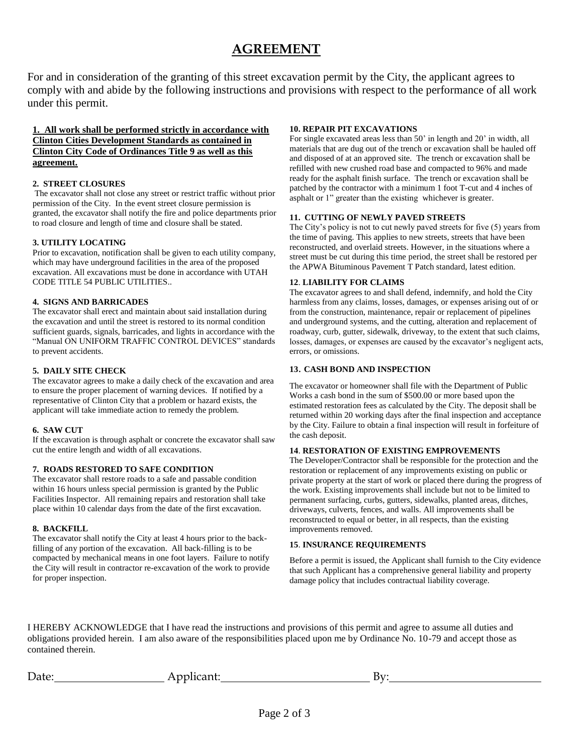# **AGREEMENT**

For and in consideration of the granting of this street excavation permit by the City, the applicant agrees to comply with and abide by the following instructions and provisions with respect to the performance of all work under this permit.

# **1. All work shall be performed strictly in accordance with Clinton Cities Development Standards as contained in Clinton City Code of Ordinances Title 9 as well as this agreement.**

#### **2. STREET CLOSURES**

The excavator shall not close any street or restrict traffic without prior permission of the City. In the event street closure permission is granted, the excavator shall notify the fire and police departments prior to road closure and length of time and closure shall be stated.

# **3. UTILITY LOCATING**

Prior to excavation, notification shall be given to each utility company, which may have underground facilities in the area of the proposed excavation. All excavations must be done in accordance with UTAH CODE TITLE 54 PUBLIC UTILITIES..

# **4. SIGNS AND BARRICADES**

The excavator shall erect and maintain about said installation during the excavation and until the street is restored to its normal condition sufficient guards, signals, barricades, and lights in accordance with the "Manual ON UNIFORM TRAFFIC CONTROL DEVICES" standards to prevent accidents.

#### **5. DAILY SITE CHECK**

The excavator agrees to make a daily check of the excavation and area to ensure the proper placement of warning devices. If notified by a representative of Clinton City that a problem or hazard exists, the applicant will take immediate action to remedy the problem.

#### **6. SAW CUT**

If the excavation is through asphalt or concrete the excavator shall saw cut the entire length and width of all excavations.

#### **7. ROADS RESTORED TO SAFE CONDITION**

The excavator shall restore roads to a safe and passable condition within 16 hours unless special permission is granted by the Public Facilities Inspector. All remaining repairs and restoration shall take place within 10 calendar days from the date of the first excavation.

#### **8. BACKFILL**

The excavator shall notify the City at least 4 hours prior to the backfilling of any portion of the excavation. All back-filling is to be compacted by mechanical means in one foot layers. Failure to notify the City will result in contractor re-excavation of the work to provide for proper inspection.

### **10. REPAIR PIT EXCAVATIONS**

For single excavated areas less than 50' in length and 20' in width, all materials that are dug out of the trench or excavation shall be hauled off and disposed of at an approved site. The trench or excavation shall be refilled with new crushed road base and compacted to 96% and made ready for the asphalt finish surface. The trench or excavation shall be patched by the contractor with a minimum 1 foot T-cut and 4 inches of asphalt or 1" greater than the existing whichever is greater.

#### **11. CUTTING OF NEWLY PAVED STREETS**

The City's policy is not to cut newly paved streets for five (5) years from the time of paving. This applies to new streets, streets that have been reconstructed, and overlaid streets. However, in the situations where a street must be cut during this time period, the street shall be restored per the APWA Bituminous Pavement T Patch standard, latest edition.

# **12**. **LIABILITY FOR CLAIMS**

The excavator agrees to and shall defend, indemnify, and hold the City harmless from any claims, losses, damages, or expenses arising out of or from the construction, maintenance, repair or replacement of pipelines and underground systems, and the cutting, alteration and replacement of roadway, curb, gutter, sidewalk, driveway, to the extent that such claims, losses, damages, or expenses are caused by the excavator's negligent acts, errors, or omissions.

#### **13**. **CASH BOND AND INSPECTION**

The excavator or homeowner shall file with the Department of Public Works a cash bond in the sum of \$500.00 or more based upon the estimated restoration fees as calculated by the City. The deposit shall be returned within 20 working days after the final inspection and acceptance by the City. Failure to obtain a final inspection will result in forfeiture of the cash deposit.

# **14**. **RESTORATION OF EXISTING EMPROVEMENTS**

The Developer/Contractor shall be responsible for the protection and the restoration or replacement of any improvements existing on public or private property at the start of work or placed there during the progress of the work. Existing improvements shall include but not to be limited to permanent surfacing, curbs, gutters, sidewalks, planted areas, ditches, driveways, culverts, fences, and walls. All improvements shall be reconstructed to equal or better, in all respects, than the existing improvements removed.

# **15**. **INSURANCE REQUIREMENTS**

Before a permit is issued, the Applicant shall furnish to the City evidence that such Applicant has a comprehensive general liability and property damage policy that includes contractual liability coverage.

I HEREBY ACKNOWLEDGE that I have read the instructions and provisions of this permit and agree to assume all duties and obligations provided herein. I am also aware of the responsibilities placed upon me by Ordinance No. 10-79 and accept those as contained therein.

Applicant: By: By: